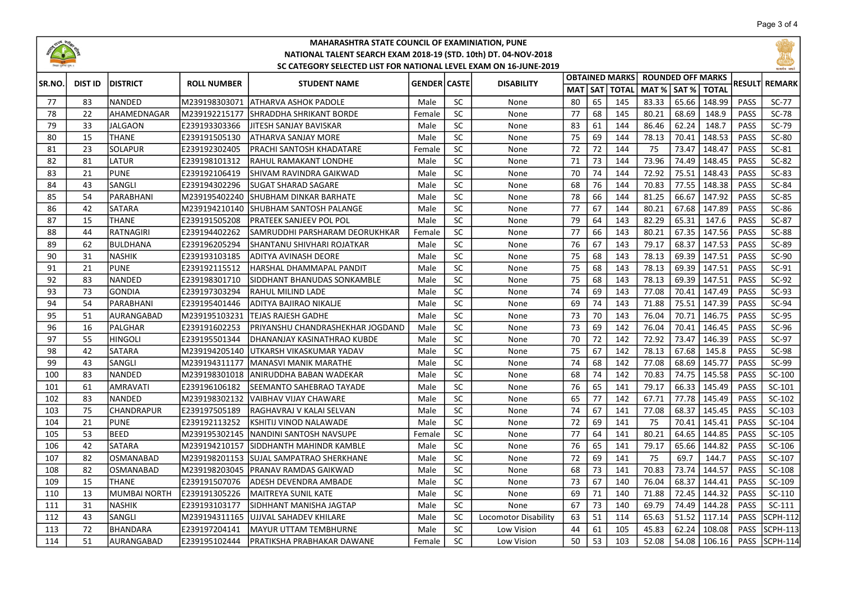

## MAHARASHTRA STATE COUNCIL OF EXAMINIATION, PUNE NATIONAL TALENT SEARCH EXAM 2018-19 (STD. 10th) DT. 04-NOV-2018 SC CATEGORY SELECTED LIST FOR NATIONAL LEVEL EXAM ON 16-JUNE-2019



| <b>SR.NO.</b> | <b>DIST ID</b> | <b>IDISTRICT</b>    | <b>ROLL NUMBER</b> | <b>STUDENT NAME</b>              | <b>GENDER CASTE</b> |           | <b>DISABILITY</b>    |    |    | <b>OBTAINED MARKS</b> | <b>ROUNDED OFF MARKS</b> |       |              |             | <b>REMARK</b>   |
|---------------|----------------|---------------------|--------------------|----------------------------------|---------------------|-----------|----------------------|----|----|-----------------------|--------------------------|-------|--------------|-------------|-----------------|
|               |                |                     |                    |                                  |                     |           |                      |    |    | MAT SAT TOTAL         | MAT %   SAT %            |       | <b>TOTAL</b> | RESULTI     |                 |
| 77            | 83             | <b>NANDED</b>       | M239198303071      | latharva ashok padole            | Male                | <b>SC</b> | None                 | 80 | 65 | 145                   | 83.33                    | 65.66 | 148.99       | <b>PASS</b> | $SC-77$         |
| 78            | 22             | AHAMEDNAGAR         | M239192215177      | ISHRADDHA SHRIKANT BORDE         | Female              | <b>SC</b> | None                 | 77 | 68 | 145                   | 80.21                    | 68.69 | 148.9        | <b>PASS</b> | <b>SC-78</b>    |
| 79            | 33             | <b>JALGAON</b>      | E239193303366      | IJITESH SANJAY BAVISKAR          | Male                | <b>SC</b> | None                 | 83 | 61 | 144                   | 86.46                    | 62.24 | 148.7        | <b>PASS</b> | $SC-79$         |
| 80            | 15             | <b>THANE</b>        | E239191505130      | ATHARVA SANJAY MORE              | Male                | SC        | None                 | 75 | 69 | 144                   | 78.13                    | 70.41 | 148.53       | <b>PASS</b> | SC-80           |
| 81            | 23             | <b>SOLAPUR</b>      | E239192302405      | IPRACHI SANTOSH KHADATARE        | Female              | <b>SC</b> | None                 | 72 | 72 | 144                   | 75                       | 73.47 | 148.47       | <b>PASS</b> | $SC-81$         |
| 82            | 81             | LATUR               | E239198101312      | RAHUL RAMAKANT LONDHE            | Male                | SC        | None                 | 71 | 73 | 144                   | 73.96                    | 74.49 | 148.45       | <b>PASS</b> | $SC-82$         |
| 83            | 21             | <b>PUNE</b>         | E239192106419      | SHIVAM RAVINDRA GAIKWAD          | Male                | SC        | None                 | 70 | 74 | 144                   | 72.92                    | 75.51 | 148.43       | <b>PASS</b> | $SC-83$         |
| 84            | 43             | SANGLI              | E239194302296      | ISUGAT SHARAD SAGARE             | Male                | SC        | None                 | 68 | 76 | 144                   | 70.83                    | 77.55 | 148.38       | <b>PASS</b> | SC-84           |
| 85            | 54             | PARABHANI           | M239195402240      | ISHUBHAM DINKAR BARHATE          | Male                | SC        | None                 | 78 | 66 | 144                   | 81.25                    | 66.67 | 147.92       | <b>PASS</b> | $SC-85$         |
| 86            | 42             | <b>SATARA</b>       | M239194210140      | SHUBHAM SANTOSH PALANGE          | Male                | <b>SC</b> | None                 | 77 | 67 | 144                   | 80.21                    | 67.68 | 147.89       | PASS        | SC-86           |
| 87            | 15             | <b>THANE</b>        | E239191505208      | <b>PRATEEK SANJEEV POL POL</b>   | Male                | <b>SC</b> | None                 | 79 | 64 | 143                   | 82.29                    | 65.31 | 147.6        | PASS        | SC-87           |
| 88            | 44             | RATNAGIRI           | E239194402262      | SAMRUDDHI PARSHARAM DEORUKHKAR   | Female              | <b>SC</b> | None                 | 77 | 66 | 143                   | 80.21                    | 67.35 | 147.56       | <b>PASS</b> | <b>SC-88</b>    |
| 89            | 62             | <b>BULDHANA</b>     | E239196205294      | SHANTANU SHIVHARI ROJATKAR       | Male                | <b>SC</b> | None                 | 76 | 67 | 143                   | 79.17                    | 68.37 | 147.53       | PASS        | SC-89           |
| 90            | 31             | <b>NASHIK</b>       | E239193103185      | ADITYA AVINASH DEORE             | Male                | <b>SC</b> | None                 | 75 | 68 | 143                   | 78.13                    | 69.39 | 147.51       | <b>PASS</b> | SC-90           |
| 91            | 21             | <b>PUNE</b>         | E239192115512      | HARSHAL DHAMMAPAL PANDIT         | Male                | <b>SC</b> | None                 | 75 | 68 | 143                   | 78.13                    | 69.39 | 147.51       | PASS        | $SC-91$         |
| 92            | 83             | <b>NANDED</b>       | E239198301710      | ISIDDHANT BHANUDAS SONKAMBLE     | Male                | SC        | None                 | 75 | 68 | 143                   | 78.13                    | 69.39 | 147.51       | <b>PASS</b> | $SC-92$         |
| 93            | 73             | <b>GONDIA</b>       | E239197303294      | IRAHUL MILIND LADE               | Male                | <b>SC</b> | None                 | 74 | 69 | 143                   | 77.08                    | 70.41 | 147.49       | <b>PASS</b> | $SC-93$         |
| 94            | 54             | PARABHANI           | E239195401446      | ADITYA BAJIRAO NIKALJE           | Male                | <b>SC</b> | None                 | 69 | 74 | 143                   | 71.88                    | 75.51 | 147.39       | <b>PASS</b> | $SC-94$         |
| 95            | 51             | AURANGABAD          | lM239195103231     | lTEJAS RAJESH GADHE              | Male                | <b>SC</b> | None                 | 73 | 70 | 143                   | 76.04                    | 70.71 | 146.75       | <b>PASS</b> | $SC-95$         |
| 96            | 16             | PALGHAR             | E239191602253      | PRIYANSHU CHANDRASHEKHAR JOGDAND | Male                | SC        | None                 | 73 | 69 | 142                   | 76.04                    | 70.41 | 146.45       | <b>PASS</b> | $SC-96$         |
| 97            | 55             | <b>HINGOLI</b>      | E239195501344      | DHANANJAY KASINATHRAO KUBDE      | Male                | <b>SC</b> | None                 | 70 | 72 | 142                   | 72.92                    | 73.47 | 146.39       | <b>PASS</b> | $SC-97$         |
| 98            | 42             | <b>SATARA</b>       | M239194205140      | IUTKARSH VIKASKUMAR YADAV        | Male                | SC        | None                 | 75 | 67 | 142                   | 78.13                    | 67.68 | 145.8        | <b>PASS</b> | <b>SC-98</b>    |
| 99            | 43             | SANGLI              | M239194311177      | <b>MANASVI MANIK MARATHE</b>     | Male                | SC        | None                 | 74 | 68 | 142                   | 77.08                    | 68.69 | 145.77       | <b>PASS</b> | SC-99           |
| 100           | 83             | <b>NANDED</b>       | M239198301018      | IANIRUDDHA BABAN WADEKAR         | Male                | SC        | None                 | 68 | 74 | 142                   | 70.83                    | 74.75 | 145.58       | PASS        | SC-100          |
| 101           | 61             | <b>AMRAVATI</b>     | E239196106182      | SEEMANTO SAHEBRAO TAYADE         | Male                | SC        | None                 | 76 | 65 | 141                   | 79.17                    | 66.33 | 145.49       | <b>PASS</b> | SC-101          |
| 102           | 83             | <b>NANDED</b>       | M239198302132      | IVAIBHAV VIJAY CHAWARE           | Male                | <b>SC</b> | None                 | 65 | 77 | 142                   | 67.71                    | 77.78 | 145.49       | <b>PASS</b> | SC-102          |
| 103           | 75             | CHANDRAPUR          | E239197505189      | IRAGHAVRAJ V KALAI SELVAN        | Male                | <b>SC</b> | None                 | 74 | 67 | 141                   | 77.08                    | 68.37 | 145.45       | <b>PASS</b> | $SC-103$        |
| 104           | 21             | <b>PUNE</b>         | E239192113252      | İKSHITIJ VINOD NALAWADE          | Male                | <b>SC</b> | None                 | 72 | 69 | 141                   | 75                       | 70.41 | 145.41       | <b>PASS</b> | SC-104          |
| 105           | 53             | BEED                | M239195302145      | İNANDINI SANTOSH NAVSUPE         | Female              | <b>SC</b> | None                 | 77 | 64 | 141                   | 80.21                    | 64.65 | 144.85       | PASS        | SC-105          |
| 106           | 42             | <b>SATARA</b>       | M239194210157      | ISIDDHANTH MAHINDR KAMBLE        | Male                | <b>SC</b> | None                 | 76 | 65 | 141                   | 79.17                    | 65.66 | 144.82       | <b>PASS</b> | SC-106          |
| 107           | 82             | OSMANABAD           | M239198201153      | ISUJAL SAMPATRAO SHERKHANE       | Male                | SC        | None                 | 72 | 69 | 141                   | 75                       | 69.7  | 144.7        | PASS        | SC-107          |
| 108           | 82             | <b>OSMANABAD</b>    | M239198203045      | IPRANAV RAMDAS GAIKWAD           | Male                | <b>SC</b> | None                 | 68 | 73 | 141                   | 70.83                    | 73.74 | 144.57       | <b>PASS</b> | SC-108          |
| 109           | 15             | <b>THANE</b>        | E239191507076      | ADESH DEVENDRA AMBADE            | Male                | <b>SC</b> | None                 | 73 | 67 | 140                   | 76.04                    | 68.37 | 144.41       | <b>PASS</b> | SC-109          |
| 110           | 13             | <b>MUMBAI NORTH</b> | E239191305226      | MAITREYA SUNIL KATE              | Male                | SC        | None                 | 69 | 71 | 140                   | 71.88                    | 72.45 | 144.32       | <b>PASS</b> | SC-110          |
| 111           | 31             | <b>NASHIK</b>       | E239193103177      | ISIDHHANT MANISHA JAGTAP         | Male                | <b>SC</b> | None                 | 67 | 73 | 140                   | 69.79                    | 74.49 | 144.28       | <b>PASS</b> | $SC-111$        |
| 112           | 43             | SANGLI              | M239194311165      | JUJJVAL SAHADEV KHILARE          | Male                | <b>SC</b> | Locomotor Disability | 63 | 51 | 114                   | 65.63                    | 51.52 | 117.14       | <b>PASS</b> | <b>SCPH-112</b> |
| 113           | 72             | BHANDARA            | E239197204141      | IMAYUR UTTAM TEMBHURNE           | Male                | <b>SC</b> | Low Vision           | 44 | 61 | 105                   | 45.83                    | 62.24 | 108.08       | <b>PASS</b> | SCPH-113        |
| 114           | 51             | AURANGABAD          | E239195102444      | PRATIKSHA PRABHAKAR DAWANE       | Female              | <b>SC</b> | Low Vision           | 50 | 53 | 103                   | 52.08                    | 54.08 | 106.16       | <b>PASS</b> | SCPH-114        |